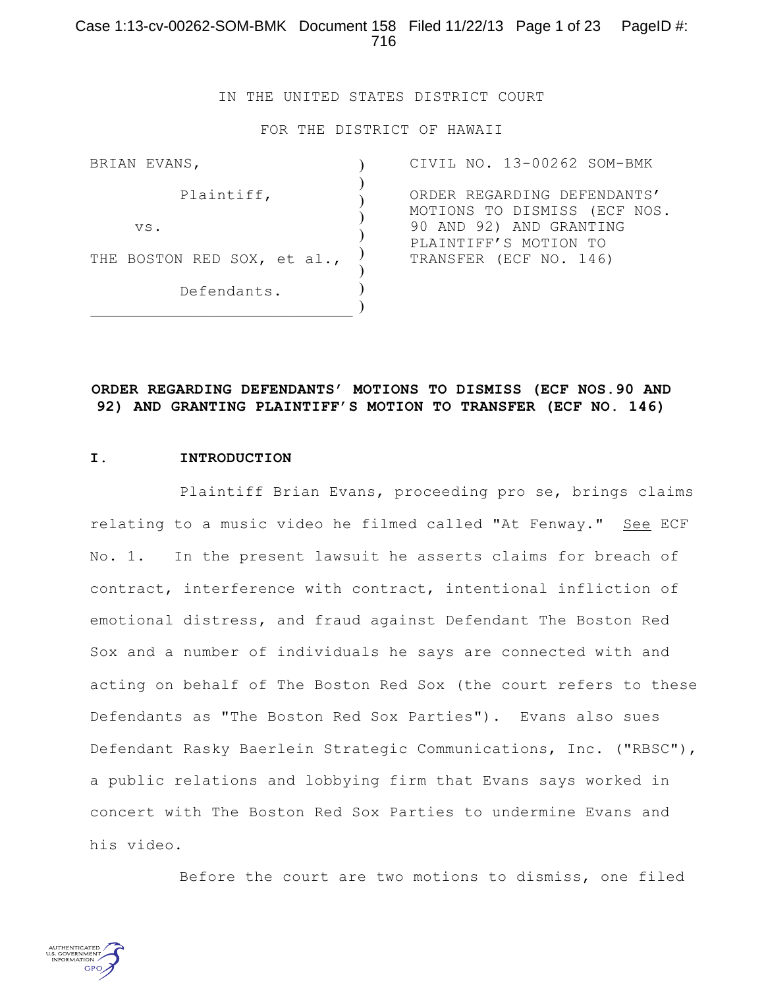IN THE UNITED STATES DISTRICT COURT

FOR THE DISTRICT OF HAWAII

| BRIAN EVANS, |     |  |  |                             |  |  |  |
|--------------|-----|--|--|-----------------------------|--|--|--|
| Plaintiff,   |     |  |  |                             |  |  |  |
|              | VS. |  |  |                             |  |  |  |
|              |     |  |  | THE BOSTON RED SOX, et al., |  |  |  |
| Defendants.  |     |  |  |                             |  |  |  |

CIVIL NO. 13-00262 SOM-BMK ORDER REGARDING DEFENDANTS' MOTIONS TO DISMISS (ECF NOS. 90 AND 92) AND GRANTING PLAINTIFF'S MOTION TO TRANSFER (ECF NO. 146)

### **ORDER REGARDING DEFENDANTS' MOTIONS TO DISMISS (ECF NOS.90 AND 92) AND GRANTING PLAINTIFF'S MOTION TO TRANSFER (ECF NO. 146)**

#### **I. INTRODUCTION**

Plaintiff Brian Evans, proceeding pro se, brings claims relating to a music video he filmed called "At Fenway." See ECF No. 1. In the present lawsuit he asserts claims for breach of contract, interference with contract, intentional infliction of emotional distress, and fraud against Defendant The Boston Red Sox and a number of individuals he says are connected with and acting on behalf of The Boston Red Sox (the court refers to these Defendants as "The Boston Red Sox Parties"). Evans also sues Defendant Rasky Baerlein Strategic Communications, Inc. ("RBSC"), a public relations and lobbying firm that Evans says worked in concert with The Boston Red Sox Parties to undermine Evans and his video.

Before the court are two motions to dismiss, one filed

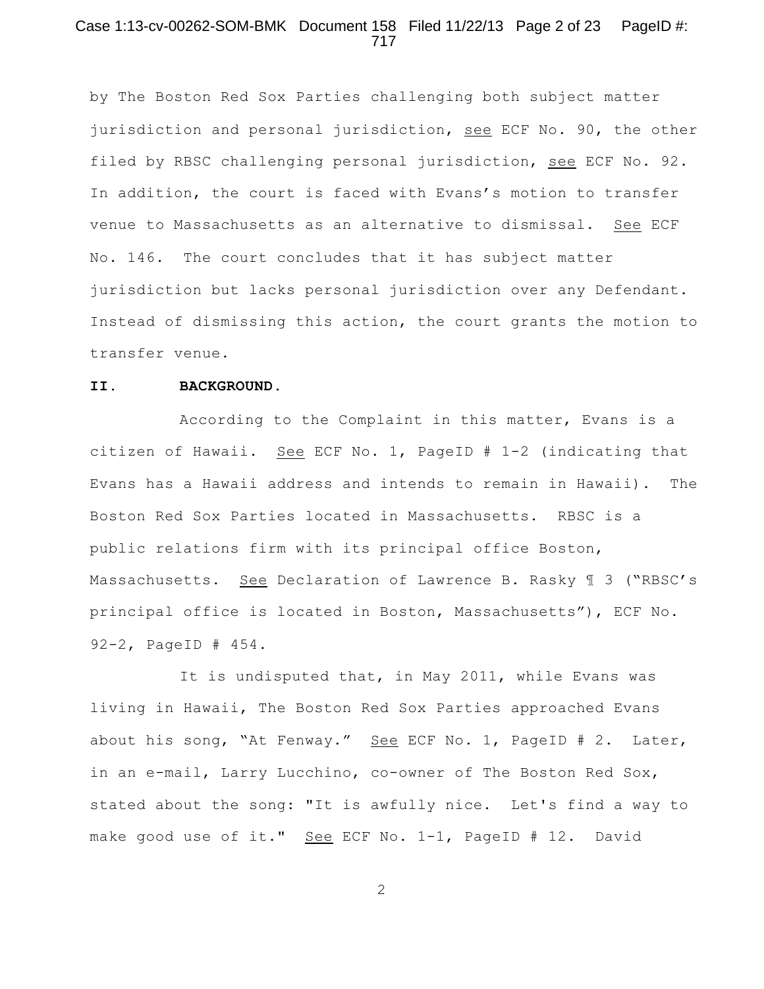## Case 1:13-cv-00262-SOM-BMK Document 158 Filed 11/22/13 Page 2 of 23 PageID #: 717

by The Boston Red Sox Parties challenging both subject matter jurisdiction and personal jurisdiction, see ECF No. 90, the other filed by RBSC challenging personal jurisdiction, see ECF No. 92. In addition, the court is faced with Evans's motion to transfer venue to Massachusetts as an alternative to dismissal. See ECF No. 146. The court concludes that it has subject matter jurisdiction but lacks personal jurisdiction over any Defendant. Instead of dismissing this action, the court grants the motion to transfer venue.

#### **II. BACKGROUND**.

According to the Complaint in this matter, Evans is a citizen of Hawaii. See ECF No. 1, PageID # 1-2 (indicating that Evans has a Hawaii address and intends to remain in Hawaii). The Boston Red Sox Parties located in Massachusetts. RBSC is a public relations firm with its principal office Boston, Massachusetts. See Declaration of Lawrence B. Rasky ¶ 3 ("RBSC's principal office is located in Boston, Massachusetts"), ECF No. 92-2, PageID # 454.

It is undisputed that, in May 2011, while Evans was living in Hawaii, The Boston Red Sox Parties approached Evans about his song, "At Fenway." See ECF No. 1, PageID # 2. Later, in an e-mail, Larry Lucchino, co-owner of The Boston Red Sox, stated about the song: "It is awfully nice. Let's find a way to make good use of it." See ECF No. 1-1, PageID # 12. David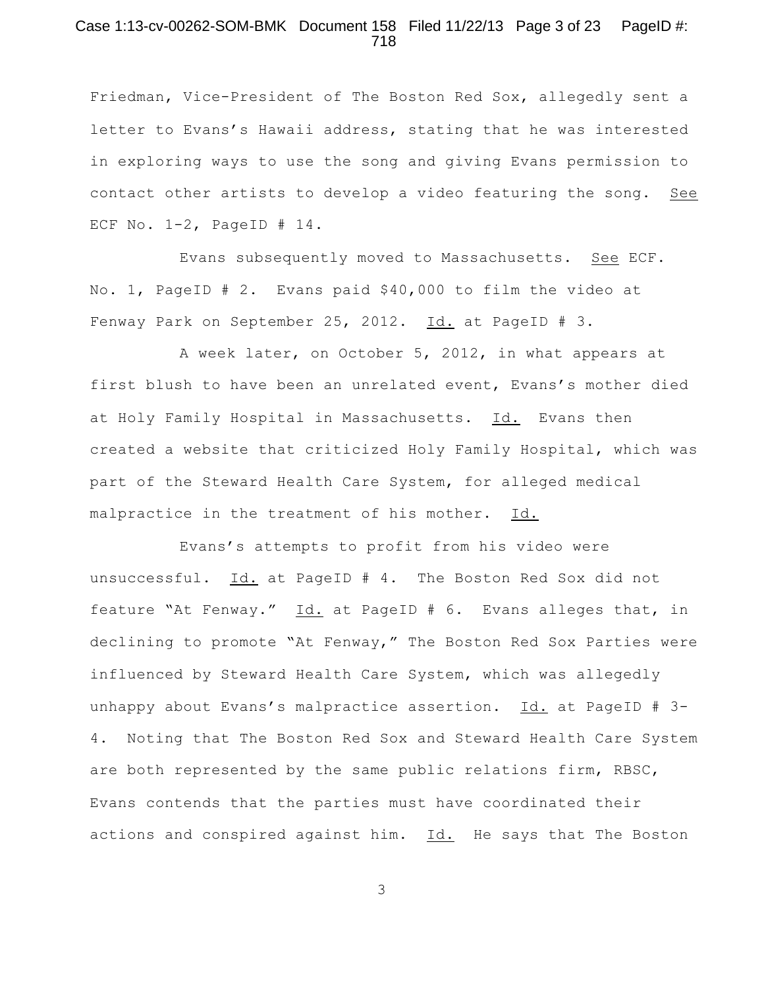## Case 1:13-cv-00262-SOM-BMK Document 158 Filed 11/22/13 Page 3 of 23 PageID #: 718

Friedman, Vice-President of The Boston Red Sox, allegedly sent a letter to Evans's Hawaii address, stating that he was interested in exploring ways to use the song and giving Evans permission to contact other artists to develop a video featuring the song. See ECF No. 1-2, PageID # 14.

Evans subsequently moved to Massachusetts. See ECF. No. 1, PageID # 2. Evans paid \$40,000 to film the video at Fenway Park on September 25, 2012. Id. at PageID # 3.

A week later, on October 5, 2012, in what appears at first blush to have been an unrelated event, Evans's mother died at Holy Family Hospital in Massachusetts. Id. Evans then created a website that criticized Holy Family Hospital, which was part of the Steward Health Care System, for alleged medical malpractice in the treatment of his mother. Id.

Evans's attempts to profit from his video were unsuccessful. Id. at PageID # 4. The Boston Red Sox did not feature "At Fenway." Id. at PageID # 6. Evans alleges that, in declining to promote "At Fenway," The Boston Red Sox Parties were influenced by Steward Health Care System, which was allegedly unhappy about Evans's malpractice assertion. Id. at PageID # 3- 4. Noting that The Boston Red Sox and Steward Health Care System are both represented by the same public relations firm, RBSC, Evans contends that the parties must have coordinated their actions and conspired against him. Id. He says that The Boston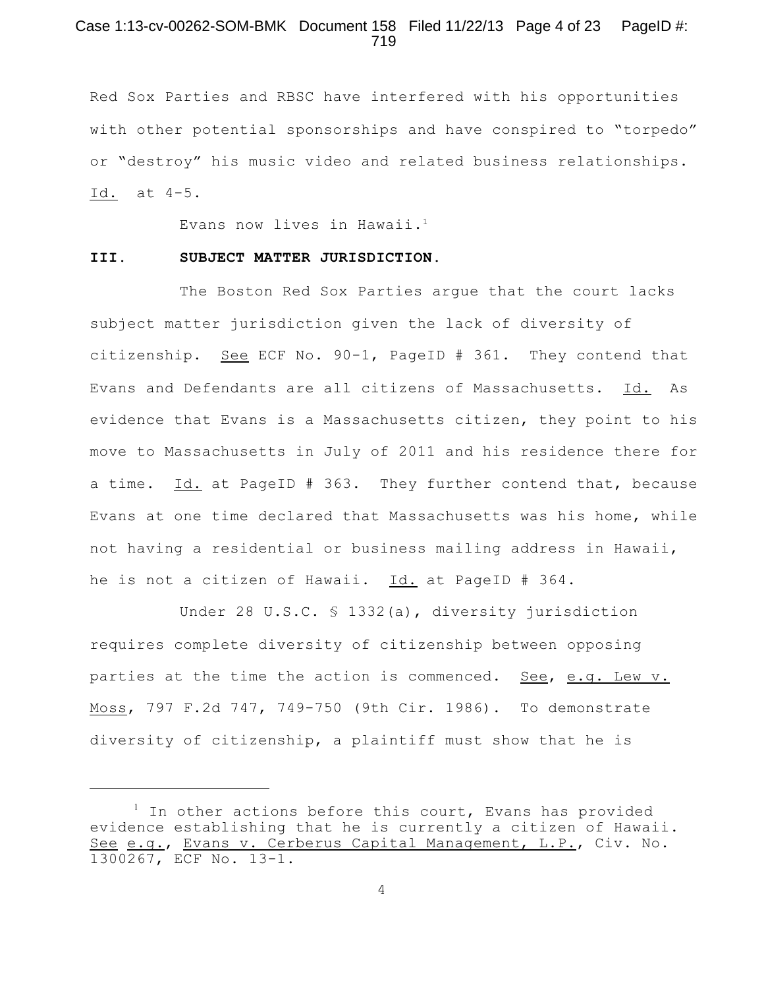# Case 1:13-cv-00262-SOM-BMK Document 158 Filed 11/22/13 Page 4 of 23 PageID #: 719

Red Sox Parties and RBSC have interfered with his opportunities with other potential sponsorships and have conspired to "torpedo" or "destroy" his music video and related business relationships. Id. at 4-5.

Evans now lives in Hawaii. 1

#### **III. SUBJECT MATTER JURISDICTION.**

The Boston Red Sox Parties argue that the court lacks subject matter jurisdiction given the lack of diversity of citizenship. See ECF No. 90-1, PageID # 361. They contend that Evans and Defendants are all citizens of Massachusetts. Id. As evidence that Evans is a Massachusetts citizen, they point to his move to Massachusetts in July of 2011 and his residence there for a time. Id. at PageID # 363. They further contend that, because Evans at one time declared that Massachusetts was his home, while not having a residential or business mailing address in Hawaii, he is not a citizen of Hawaii. Id. at PageID # 364.

Under 28 U.S.C. § 1332(a), diversity jurisdiction requires complete diversity of citizenship between opposing parties at the time the action is commenced. See, e.g. Lew v. Moss, 797 F.2d 747, 749-750 (9th Cir. 1986). To demonstrate diversity of citizenship, a plaintiff must show that he is

 $1$  In other actions before this court, Evans has provided evidence establishing that he is currently a citizen of Hawaii. See e.g., Evans v. Cerberus Capital Management, L.P., Civ. No. 1300267, ECF No. 13-1.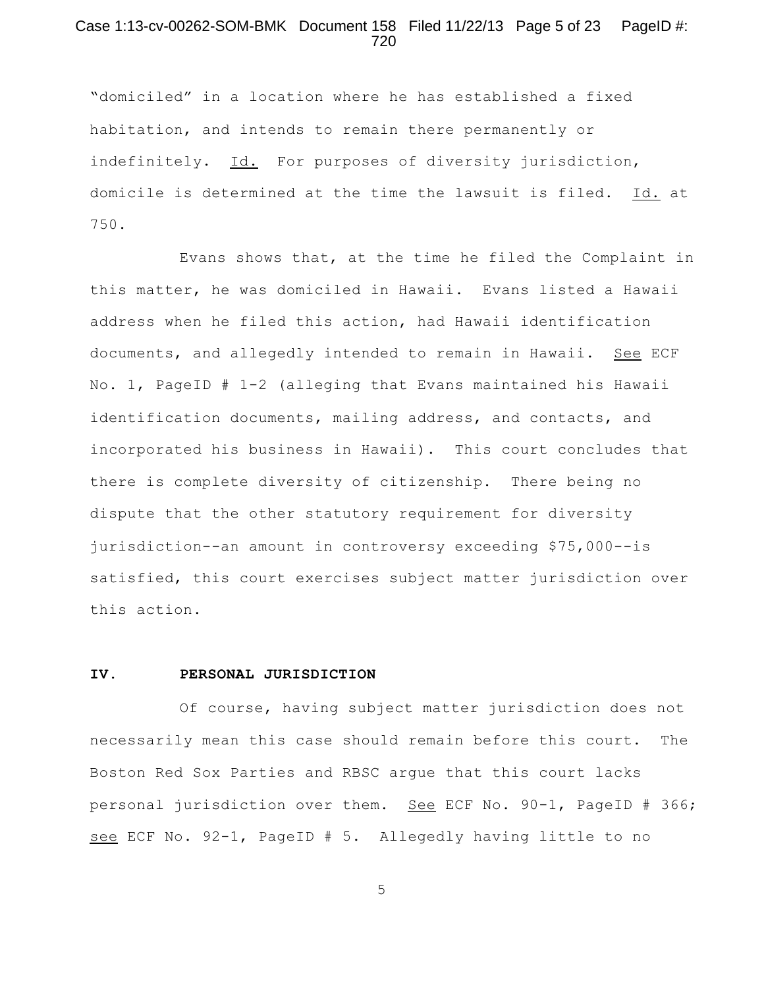## Case 1:13-cv-00262-SOM-BMK Document 158 Filed 11/22/13 Page 5 of 23 PageID #: 720

"domiciled" in a location where he has established a fixed habitation, and intends to remain there permanently or indefinitely. Id. For purposes of diversity jurisdiction, domicile is determined at the time the lawsuit is filed. Id. at 750.

Evans shows that, at the time he filed the Complaint in this matter, he was domiciled in Hawaii. Evans listed a Hawaii address when he filed this action, had Hawaii identification documents, and allegedly intended to remain in Hawaii. See ECF No. 1, PageID # 1-2 (alleging that Evans maintained his Hawaii identification documents, mailing address, and contacts, and incorporated his business in Hawaii). This court concludes that there is complete diversity of citizenship. There being no dispute that the other statutory requirement for diversity jurisdiction--an amount in controversy exceeding \$75,000--is satisfied, this court exercises subject matter jurisdiction over this action.

#### **IV. PERSONAL JURISDICTION**

Of course, having subject matter jurisdiction does not necessarily mean this case should remain before this court. The Boston Red Sox Parties and RBSC argue that this court lacks personal jurisdiction over them. See ECF No. 90-1, PageID # 366; see ECF No. 92-1, PageID # 5. Allegedly having little to no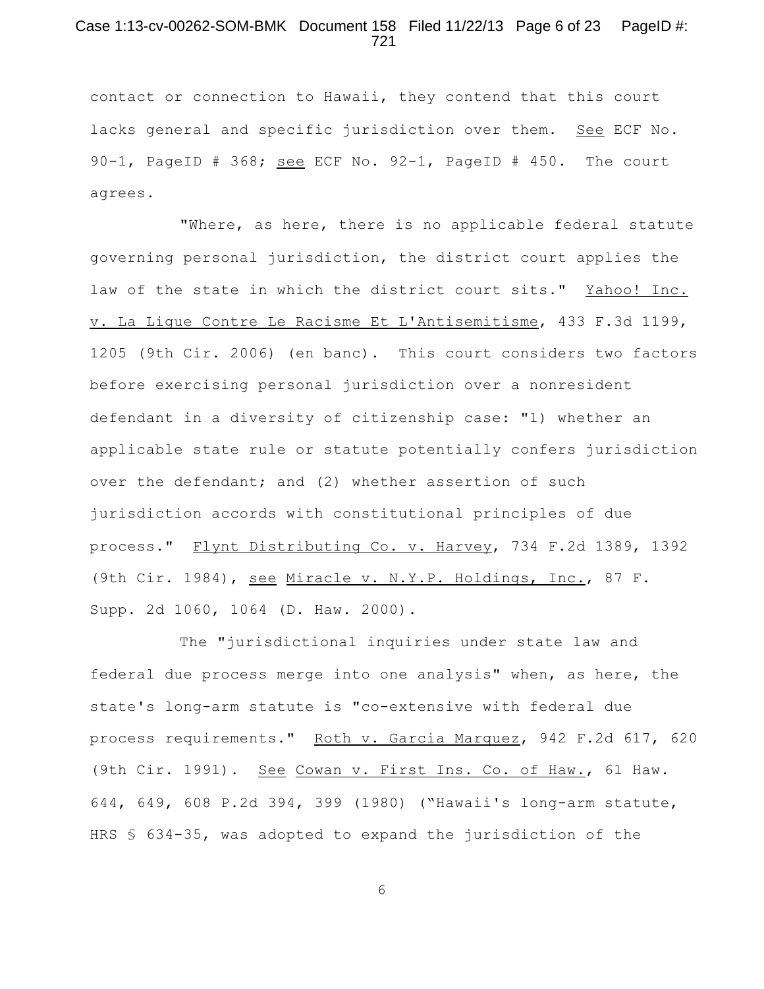## Case 1:13-cv-00262-SOM-BMK Document 158 Filed 11/22/13 Page 6 of 23 PageID #: 721

contact or connection to Hawaii, they contend that this court lacks general and specific jurisdiction over them. See ECF No. 90-1, PageID # 368; see ECF No. 92-1, PageID # 450. The court agrees.

"Where, as here, there is no applicable federal statute governing personal jurisdiction, the district court applies the law of the state in which the district court sits." Yahoo! Inc. v. La Ligue Contre Le Racisme Et L'Antisemitisme, 433 F.3d 1199, 1205 (9th Cir. 2006) (en banc). This court considers two factors before exercising personal jurisdiction over a nonresident defendant in a diversity of citizenship case: "1) whether an applicable state rule or statute potentially confers jurisdiction over the defendant; and (2) whether assertion of such jurisdiction accords with constitutional principles of due process." Flynt Distributing Co. v. Harvey, 734 F.2d 1389, 1392 (9th Cir. 1984), see Miracle v. N.Y.P. Holdings, Inc., 87 F. Supp. 2d 1060, 1064 (D. Haw. 2000).

The "jurisdictional inquiries under state law and federal due process merge into one analysis" when, as here, the state's long-arm statute is "co-extensive with federal due process requirements." Roth v. Garcia Marquez, 942 F.2d 617, 620 (9th Cir. 1991). See Cowan v. First Ins. Co. of Haw., 61 Haw. 644, 649, 608 P.2d 394, 399 (1980) ("Hawaii's long-arm statute, HRS § 634-35, was adopted to expand the jurisdiction of the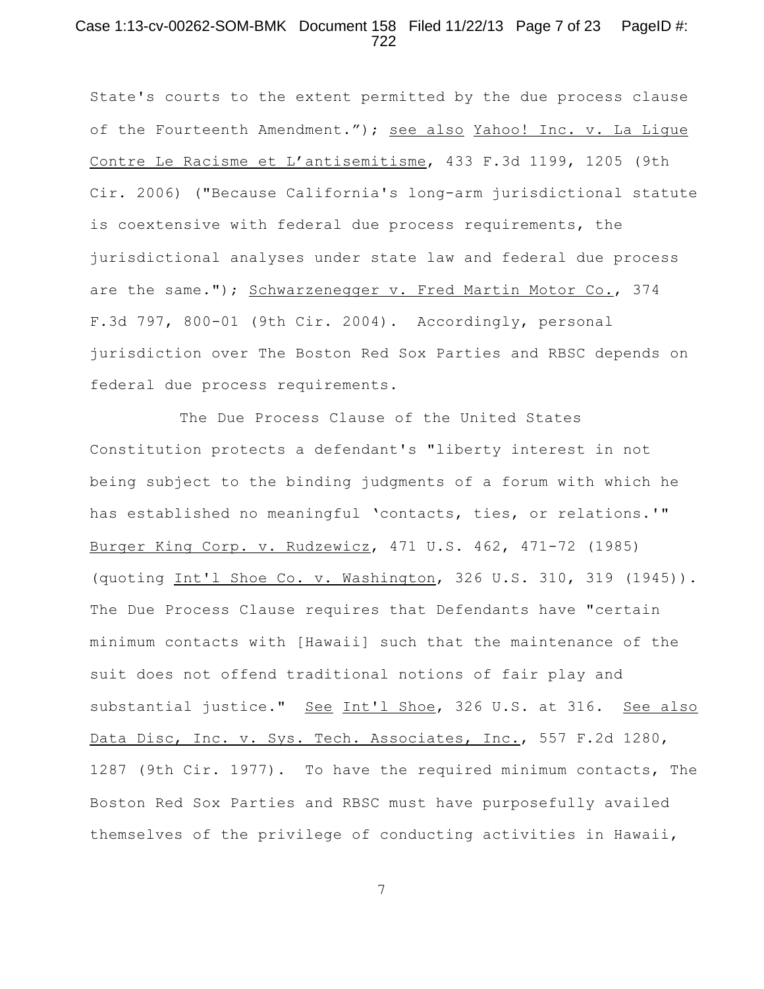### Case 1:13-cv-00262-SOM-BMK Document 158 Filed 11/22/13 Page 7 of 23 PageID #: 722

State's courts to the extent permitted by the due process clause of the Fourteenth Amendment."); see also Yahoo! Inc. v. La Ligue Contre Le Racisme et L'antisemitisme, 433 F.3d 1199, 1205 (9th Cir. 2006) ("Because California's long-arm jurisdictional statute is coextensive with federal due process requirements, the jurisdictional analyses under state law and federal due process are the same."); Schwarzenegger v. Fred Martin Motor Co., 374 F.3d 797, 800-01 (9th Cir. 2004). Accordingly, personal jurisdiction over The Boston Red Sox Parties and RBSC depends on federal due process requirements.

The Due Process Clause of the United States Constitution protects a defendant's "liberty interest in not being subject to the binding judgments of a forum with which he has established no meaningful 'contacts, ties, or relations.'" Burger King Corp. v. Rudzewicz, 471 U.S. 462, 471-72 (1985) (quoting Int'l Shoe Co. v. Washington, 326 U.S. 310, 319 (1945)). The Due Process Clause requires that Defendants have "certain minimum contacts with [Hawaii] such that the maintenance of the suit does not offend traditional notions of fair play and substantial justice." See Int'l Shoe, 326 U.S. at 316. See also Data Disc, Inc. v. Sys. Tech. Associates, Inc., 557 F.2d 1280, 1287 (9th Cir. 1977). To have the required minimum contacts, The Boston Red Sox Parties and RBSC must have purposefully availed themselves of the privilege of conducting activities in Hawaii,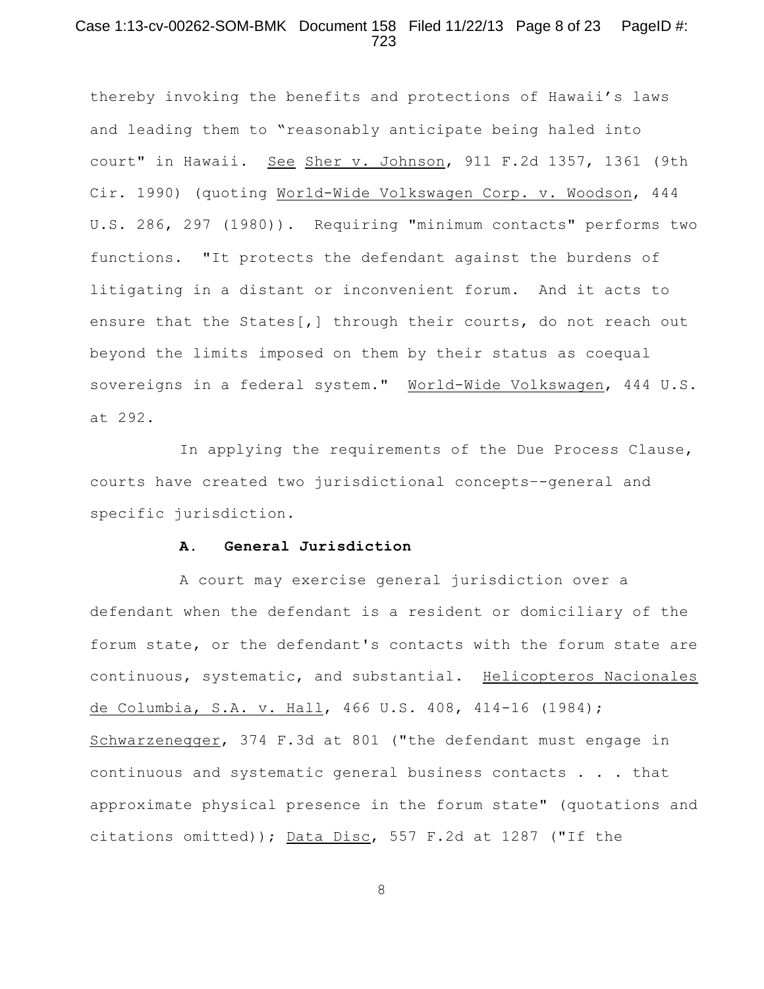## Case 1:13-cv-00262-SOM-BMK Document 158 Filed 11/22/13 Page 8 of 23 PageID #: 723

thereby invoking the benefits and protections of Hawaii's laws and leading them to "reasonably anticipate being haled into court" in Hawaii. See Sher v. Johnson, 911 F.2d 1357, 1361 (9th Cir. 1990) (quoting World-Wide Volkswagen Corp. v. Woodson, 444 U.S. 286, 297 (1980)). Requiring "minimum contacts" performs two functions. "It protects the defendant against the burdens of litigating in a distant or inconvenient forum. And it acts to ensure that the States[,] through their courts, do not reach out beyond the limits imposed on them by their status as coequal sovereigns in a federal system." World-Wide Volkswagen, 444 U.S. at 292.

In applying the requirements of the Due Process Clause, courts have created two jurisdictional concepts–-general and specific jurisdiction.

#### **A. General Jurisdiction**

A court may exercise general jurisdiction over a defendant when the defendant is a resident or domiciliary of the forum state, or the defendant's contacts with the forum state are continuous, systematic, and substantial. Helicopteros Nacionales de Columbia, S.A. v. Hall, 466 U.S. 408, 414-16 (1984); Schwarzenegger, 374 F.3d at 801 ("the defendant must engage in continuous and systematic general business contacts . . . that approximate physical presence in the forum state" (quotations and citations omitted)); Data Disc, 557 F.2d at 1287 ("If the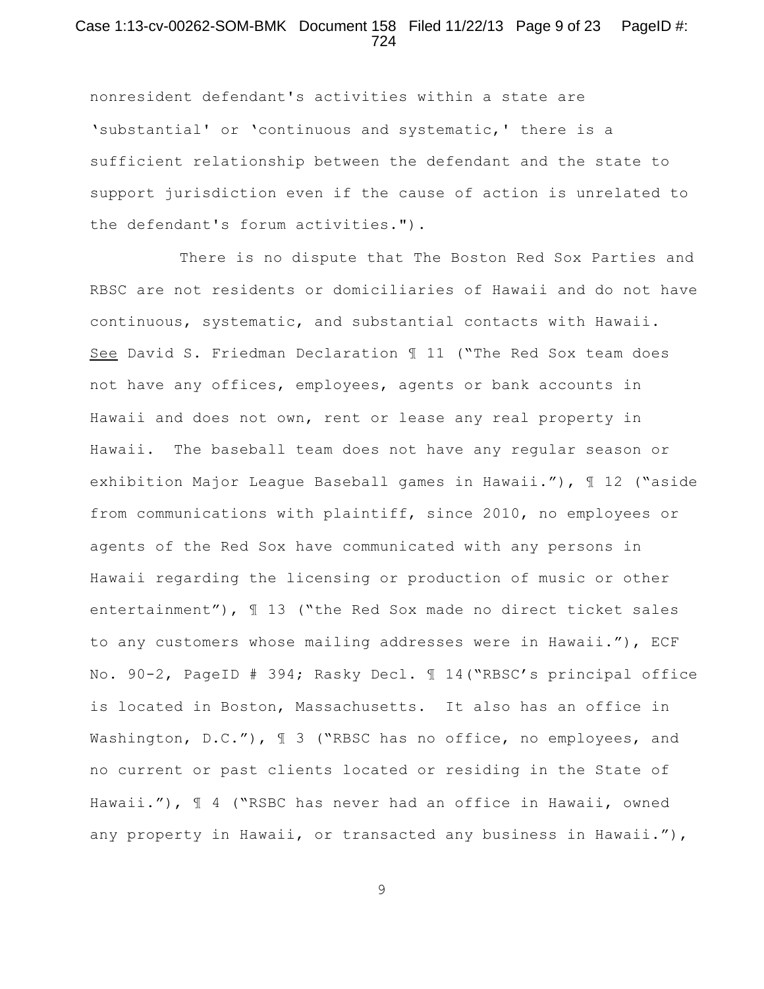## Case 1:13-cv-00262-SOM-BMK Document 158 Filed 11/22/13 Page 9 of 23 PageID #: 724

nonresident defendant's activities within a state are 'substantial' or 'continuous and systematic,' there is a sufficient relationship between the defendant and the state to support jurisdiction even if the cause of action is unrelated to the defendant's forum activities.").

There is no dispute that The Boston Red Sox Parties and RBSC are not residents or domiciliaries of Hawaii and do not have continuous, systematic, and substantial contacts with Hawaii. See David S. Friedman Declaration ¶ 11 ("The Red Sox team does not have any offices, employees, agents or bank accounts in Hawaii and does not own, rent or lease any real property in Hawaii. The baseball team does not have any regular season or exhibition Major League Baseball games in Hawaii."), ¶ 12 ("aside from communications with plaintiff, since 2010, no employees or agents of the Red Sox have communicated with any persons in Hawaii regarding the licensing or production of music or other entertainment"),  $\text{I}$  13 ("the Red Sox made no direct ticket sales to any customers whose mailing addresses were in Hawaii."), ECF No. 90-2, PageID # 394; Rasky Decl. ¶ 14("RBSC's principal office is located in Boston, Massachusetts. It also has an office in Washington, D.C."),  $\parallel$  3 ("RBSC has no office, no employees, and no current or past clients located or residing in the State of Hawaii."),  $\parallel$  4 ("RSBC has never had an office in Hawaii, owned any property in Hawaii, or transacted any business in Hawaii."),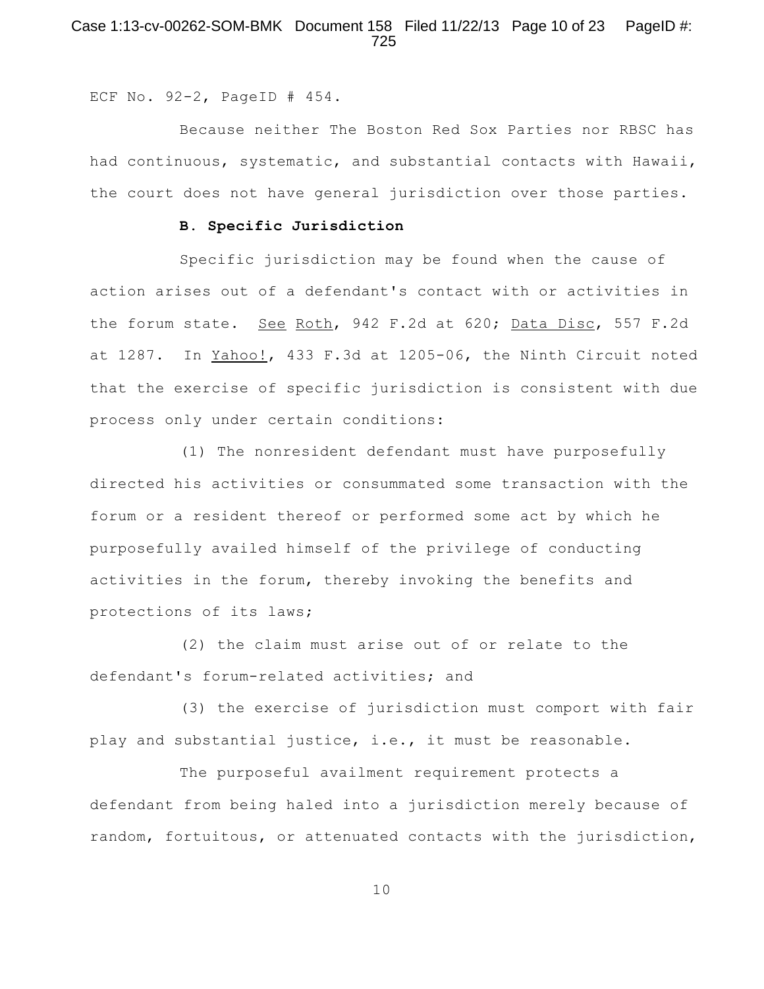# Case 1:13-cv-00262-SOM-BMK Document 158 Filed 11/22/13 Page 10 of 23 PageID #: 725

ECF No. 92-2, PageID # 454.

Because neither The Boston Red Sox Parties nor RBSC has had continuous, systematic, and substantial contacts with Hawaii, the court does not have general jurisdiction over those parties.

# **B. Specific Jurisdiction**

Specific jurisdiction may be found when the cause of action arises out of a defendant's contact with or activities in the forum state. See Roth, 942 F.2d at 620; Data Disc, 557 F.2d at 1287. In Yahoo!, 433 F.3d at 1205-06, the Ninth Circuit noted that the exercise of specific jurisdiction is consistent with due process only under certain conditions:

(1) The nonresident defendant must have purposefully directed his activities or consummated some transaction with the forum or a resident thereof or performed some act by which he purposefully availed himself of the privilege of conducting activities in the forum, thereby invoking the benefits and protections of its laws;

(2) the claim must arise out of or relate to the defendant's forum-related activities; and

(3) the exercise of jurisdiction must comport with fair play and substantial justice, i.e., it must be reasonable.

The purposeful availment requirement protects a defendant from being haled into a jurisdiction merely because of random, fortuitous, or attenuated contacts with the jurisdiction,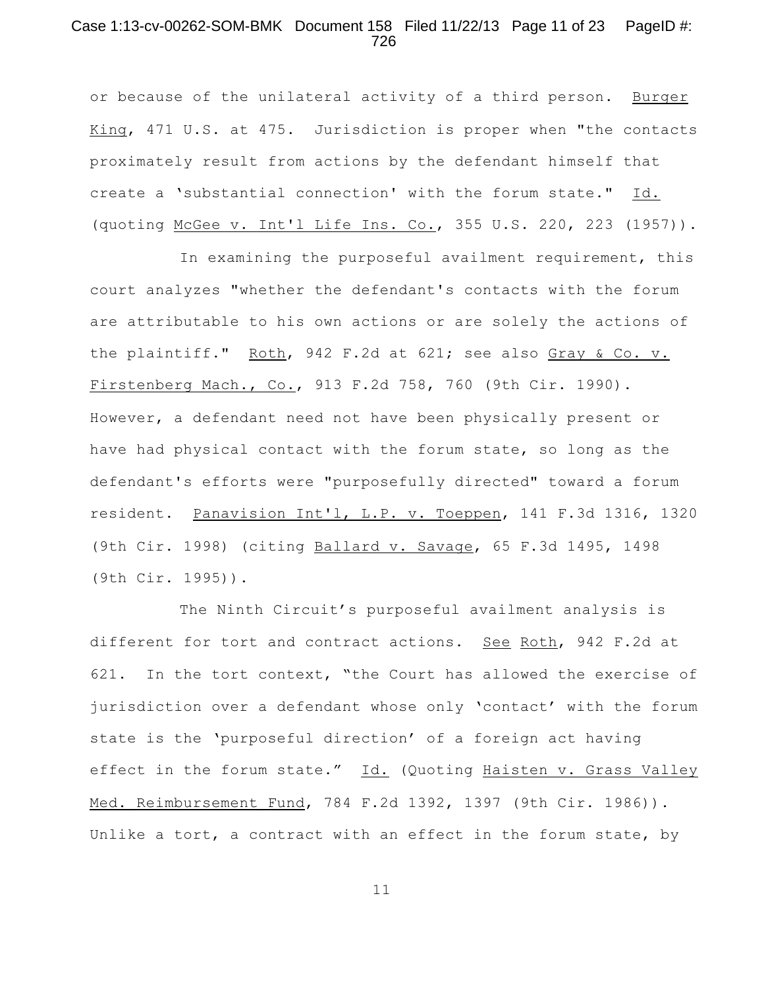## Case 1:13-cv-00262-SOM-BMK Document 158 Filed 11/22/13 Page 11 of 23 PageID #: 726

or because of the unilateral activity of a third person. Burger King, 471 U.S. at 475. Jurisdiction is proper when "the contacts proximately result from actions by the defendant himself that create a 'substantial connection' with the forum state." Id. (quoting McGee v. Int'l Life Ins. Co., 355 U.S. 220, 223 (1957)).

In examining the purposeful availment requirement, this court analyzes "whether the defendant's contacts with the forum are attributable to his own actions or are solely the actions of the plaintiff." Roth, 942 F.2d at 621; see also Gray & Co. v. Firstenberg Mach., Co., 913 F.2d 758, 760 (9th Cir. 1990). However, a defendant need not have been physically present or have had physical contact with the forum state, so long as the defendant's efforts were "purposefully directed" toward a forum resident. Panavision Int'l, L.P. v. Toeppen, 141 F.3d 1316, 1320 (9th Cir. 1998) (citing Ballard v. Savage, 65 F.3d 1495, 1498 (9th Cir. 1995)).

The Ninth Circuit's purposeful availment analysis is different for tort and contract actions. See Roth, 942 F.2d at 621. In the tort context, "the Court has allowed the exercise of jurisdiction over a defendant whose only 'contact' with the forum state is the 'purposeful direction' of a foreign act having effect in the forum state." Id. (Quoting Haisten v. Grass Valley Med. Reimbursement Fund, 784 F.2d 1392, 1397 (9th Cir. 1986)). Unlike a tort, a contract with an effect in the forum state, by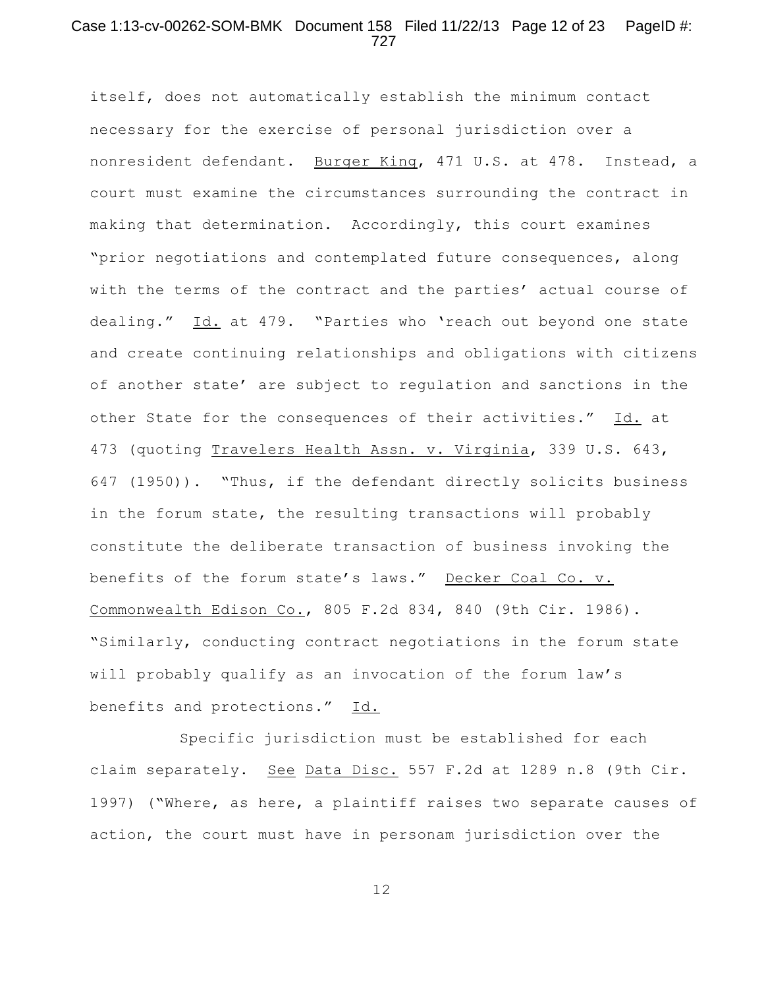## Case 1:13-cv-00262-SOM-BMK Document 158 Filed 11/22/13 Page 12 of 23 PageID #: 727

itself, does not automatically establish the minimum contact necessary for the exercise of personal jurisdiction over a nonresident defendant. Burger King, 471 U.S. at 478. Instead, a court must examine the circumstances surrounding the contract in making that determination. Accordingly, this court examines "prior negotiations and contemplated future consequences, along with the terms of the contract and the parties' actual course of dealing." Id. at 479. "Parties who 'reach out beyond one state and create continuing relationships and obligations with citizens of another state' are subject to regulation and sanctions in the other State for the consequences of their activities." Id. at 473 (quoting Travelers Health Assn. v. Virginia, 339 U.S. 643, 647 (1950)). "Thus, if the defendant directly solicits business in the forum state, the resulting transactions will probably constitute the deliberate transaction of business invoking the benefits of the forum state's laws." Decker Coal Co. v. Commonwealth Edison Co., 805 F.2d 834, 840 (9th Cir. 1986). "Similarly, conducting contract negotiations in the forum state will probably qualify as an invocation of the forum law's benefits and protections." Id.

Specific jurisdiction must be established for each claim separately. See Data Disc. 557 F.2d at 1289 n.8 (9th Cir. 1997) ("Where, as here, a plaintiff raises two separate causes of action, the court must have in personam jurisdiction over the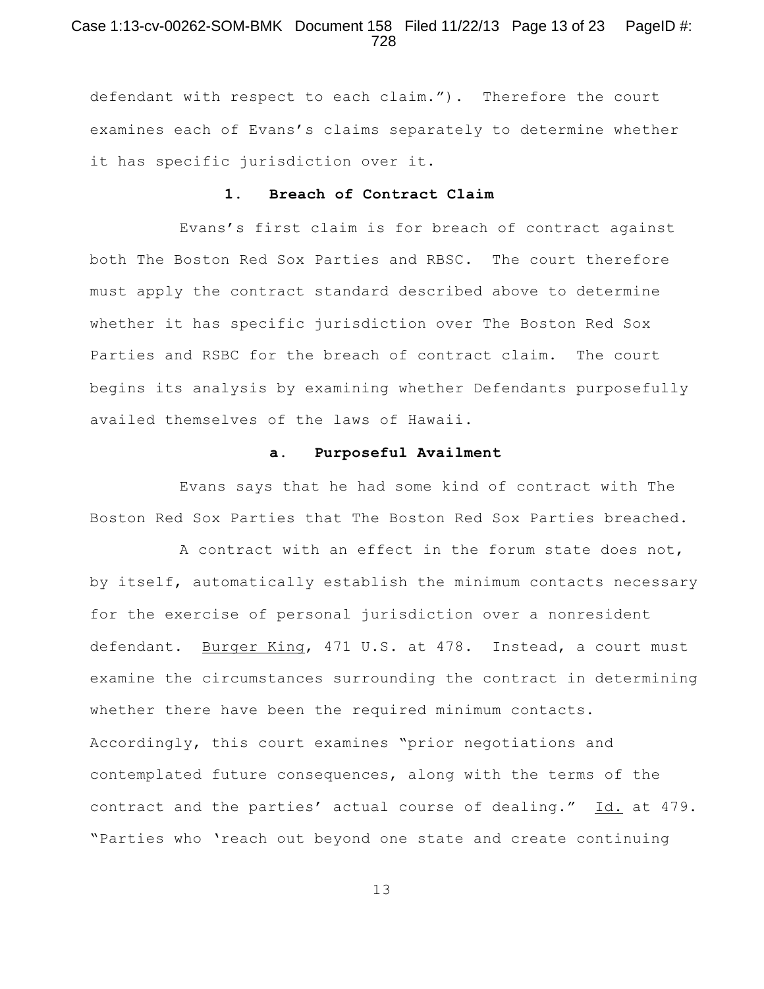## Case 1:13-cv-00262-SOM-BMK Document 158 Filed 11/22/13 Page 13 of 23 PageID #: 728

defendant with respect to each claim."). Therefore the court examines each of Evans's claims separately to determine whether it has specific jurisdiction over it.

# **1. Breach of Contract Claim**

Evans's first claim is for breach of contract against both The Boston Red Sox Parties and RBSC. The court therefore must apply the contract standard described above to determine whether it has specific jurisdiction over The Boston Red Sox Parties and RSBC for the breach of contract claim. The court begins its analysis by examining whether Defendants purposefully availed themselves of the laws of Hawaii.

### **a. Purposeful Availment**

Evans says that he had some kind of contract with The Boston Red Sox Parties that The Boston Red Sox Parties breached.

A contract with an effect in the forum state does not, by itself, automatically establish the minimum contacts necessary for the exercise of personal jurisdiction over a nonresident defendant. Burger King, 471 U.S. at 478. Instead, a court must examine the circumstances surrounding the contract in determining whether there have been the required minimum contacts. Accordingly, this court examines "prior negotiations and contemplated future consequences, along with the terms of the contract and the parties' actual course of dealing." Id. at 479. "Parties who 'reach out beyond one state and create continuing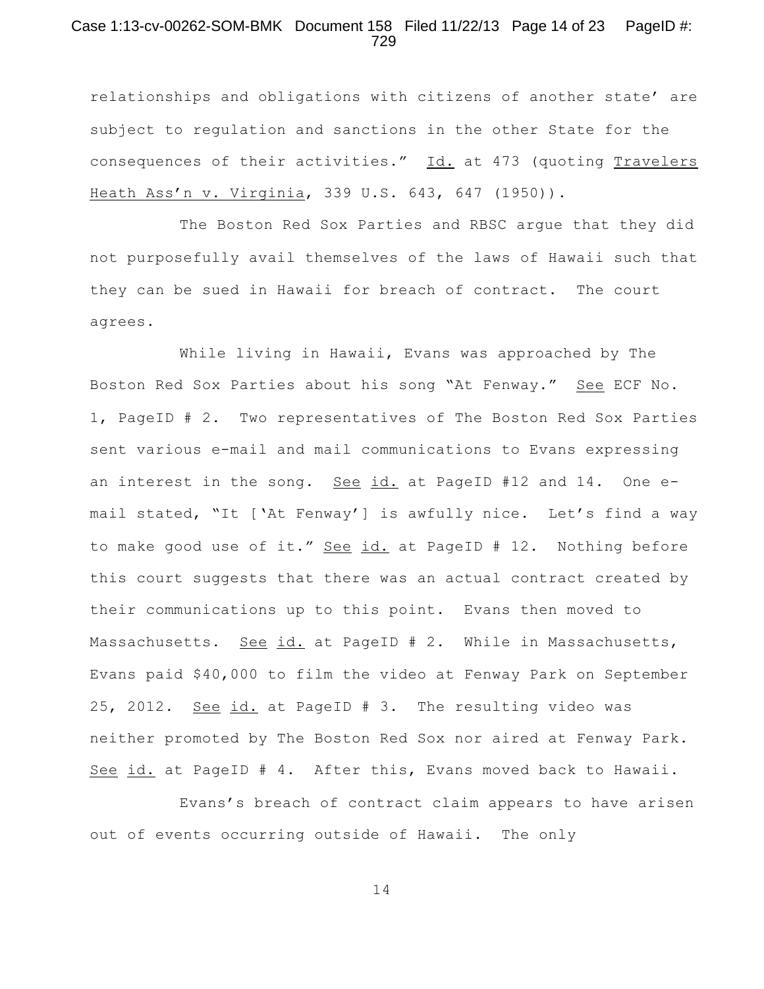# Case 1:13-cv-00262-SOM-BMK Document 158 Filed 11/22/13 Page 14 of 23 PageID #: 729

relationships and obligations with citizens of another state' are subject to regulation and sanctions in the other State for the consequences of their activities." Id. at 473 (quoting Travelers Heath Ass'n v. Virginia, 339 U.S. 643, 647 (1950)).

The Boston Red Sox Parties and RBSC argue that they did not purposefully avail themselves of the laws of Hawaii such that they can be sued in Hawaii for breach of contract. The court agrees.

While living in Hawaii, Evans was approached by The Boston Red Sox Parties about his song "At Fenway." See ECF No. 1, PageID # 2. Two representatives of The Boston Red Sox Parties sent various e-mail and mail communications to Evans expressing an interest in the song. See id. at PageID #12 and 14. One email stated, "It ['At Fenway'] is awfully nice. Let's find a way to make good use of it." See id. at PageID # 12. Nothing before this court suggests that there was an actual contract created by their communications up to this point. Evans then moved to Massachusetts. See id. at PageID # 2. While in Massachusetts, Evans paid \$40,000 to film the video at Fenway Park on September 25, 2012. See id. at PageID # 3. The resulting video was neither promoted by The Boston Red Sox nor aired at Fenway Park. See id. at PageID # 4. After this, Evans moved back to Hawaii.

Evans's breach of contract claim appears to have arisen out of events occurring outside of Hawaii. The only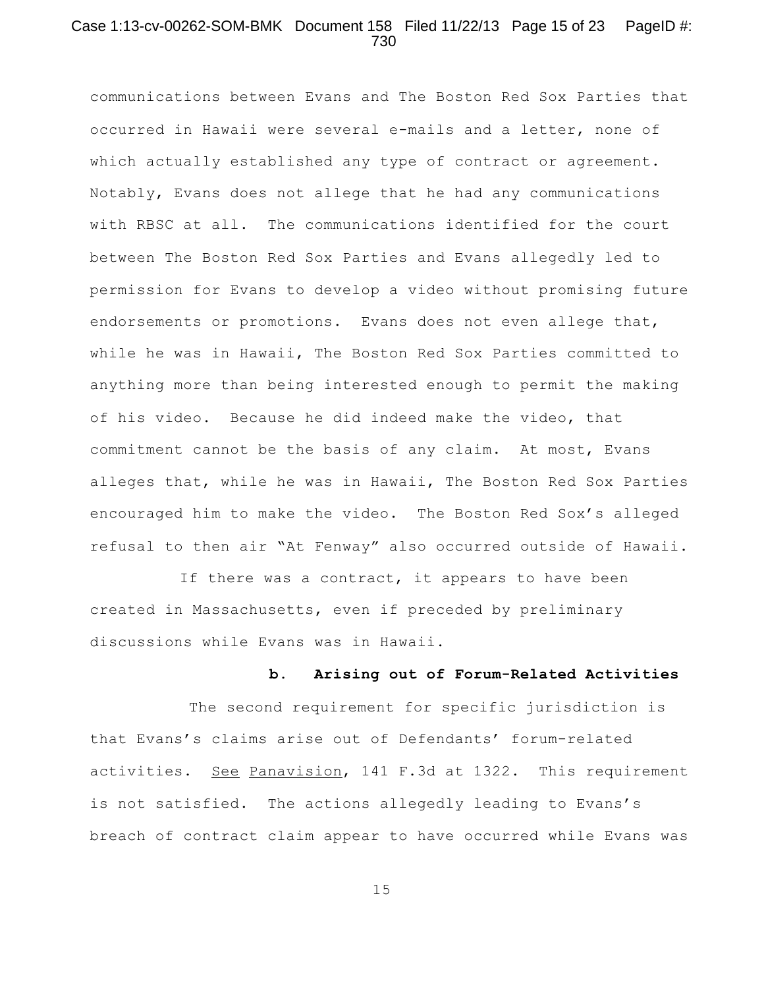## Case 1:13-cv-00262-SOM-BMK Document 158 Filed 11/22/13 Page 15 of 23 PageID #: 730

communications between Evans and The Boston Red Sox Parties that occurred in Hawaii were several e-mails and a letter, none of which actually established any type of contract or agreement. Notably, Evans does not allege that he had any communications with RBSC at all. The communications identified for the court between The Boston Red Sox Parties and Evans allegedly led to permission for Evans to develop a video without promising future endorsements or promotions. Evans does not even allege that, while he was in Hawaii, The Boston Red Sox Parties committed to anything more than being interested enough to permit the making of his video. Because he did indeed make the video, that commitment cannot be the basis of any claim. At most, Evans alleges that, while he was in Hawaii, The Boston Red Sox Parties encouraged him to make the video. The Boston Red Sox's alleged refusal to then air "At Fenway" also occurred outside of Hawaii.

If there was a contract, it appears to have been created in Massachusetts, even if preceded by preliminary discussions while Evans was in Hawaii.

## **b. Arising out of Forum-Related Activities**

The second requirement for specific jurisdiction is that Evans's claims arise out of Defendants' forum-related activities. See Panavision, 141 F.3d at 1322. This requirement is not satisfied. The actions allegedly leading to Evans's breach of contract claim appear to have occurred while Evans was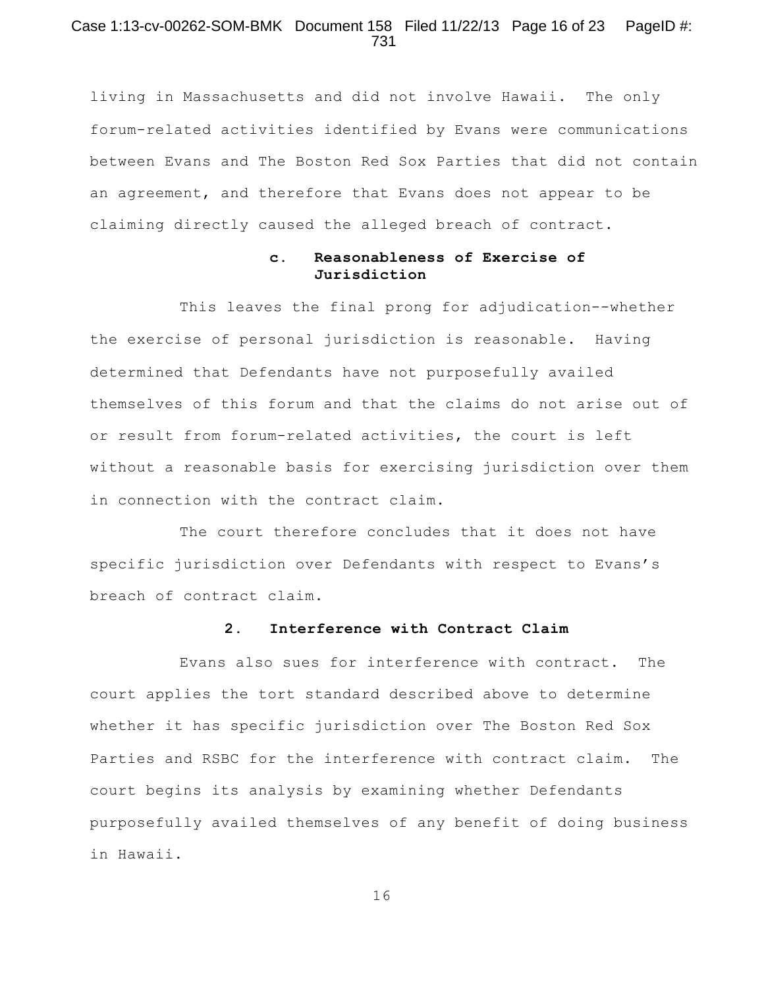# Case 1:13-cv-00262-SOM-BMK Document 158 Filed 11/22/13 Page 16 of 23 PageID #: 731

living in Massachusetts and did not involve Hawaii. The only forum-related activities identified by Evans were communications between Evans and The Boston Red Sox Parties that did not contain an agreement, and therefore that Evans does not appear to be claiming directly caused the alleged breach of contract.

# **c. Reasonableness of Exercise of Jurisdiction**

This leaves the final prong for adjudication--whether the exercise of personal jurisdiction is reasonable. Having determined that Defendants have not purposefully availed themselves of this forum and that the claims do not arise out of or result from forum-related activities, the court is left without a reasonable basis for exercising jurisdiction over them in connection with the contract claim.

The court therefore concludes that it does not have specific jurisdiction over Defendants with respect to Evans's breach of contract claim.

## **2. Interference with Contract Claim**

Evans also sues for interference with contract. The court applies the tort standard described above to determine whether it has specific jurisdiction over The Boston Red Sox Parties and RSBC for the interference with contract claim. The court begins its analysis by examining whether Defendants purposefully availed themselves of any benefit of doing business in Hawaii.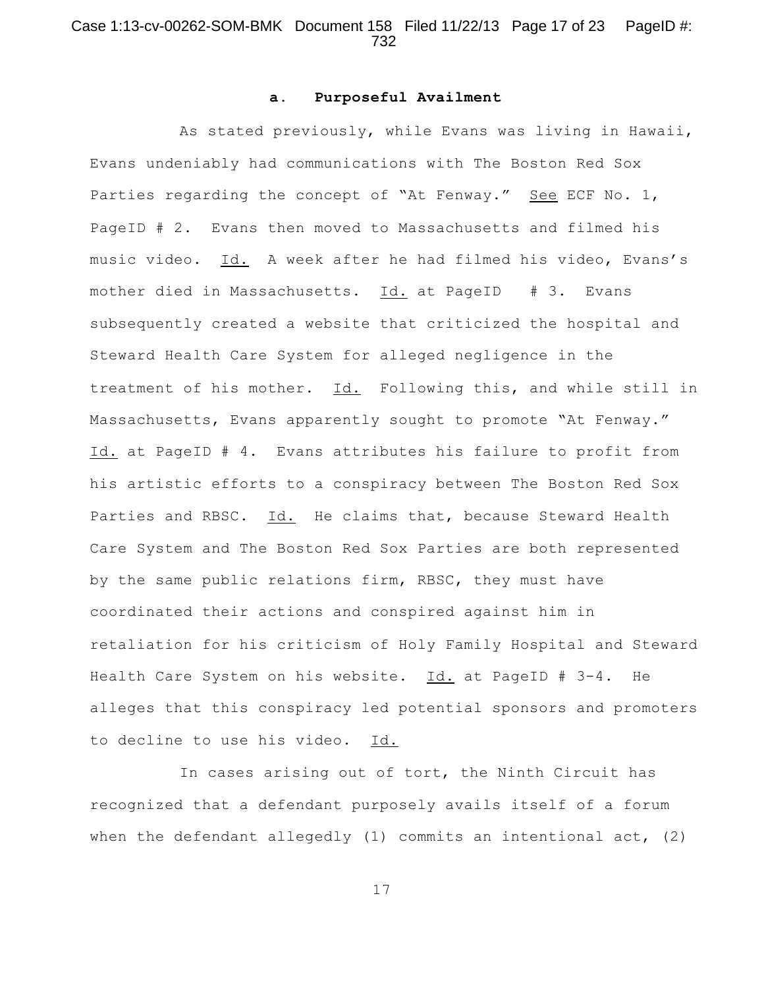# Case 1:13-cv-00262-SOM-BMK Document 158 Filed 11/22/13 Page 17 of 23 PageID #: 732

#### **a. Purposeful Availment**

As stated previously, while Evans was living in Hawaii, Evans undeniably had communications with The Boston Red Sox Parties regarding the concept of "At Fenway." See ECF No. 1, PageID # 2. Evans then moved to Massachusetts and filmed his music video. Id. A week after he had filmed his video, Evans's mother died in Massachusetts. Id. at PageID # 3. Evans subsequently created a website that criticized the hospital and Steward Health Care System for alleged negligence in the treatment of his mother. Id. Following this, and while still in Massachusetts, Evans apparently sought to promote "At Fenway." Id. at PageID # 4. Evans attributes his failure to profit from his artistic efforts to a conspiracy between The Boston Red Sox Parties and RBSC. Id. He claims that, because Steward Health Care System and The Boston Red Sox Parties are both represented by the same public relations firm, RBSC, they must have coordinated their actions and conspired against him in retaliation for his criticism of Holy Family Hospital and Steward Health Care System on his website. Id. at PageID # 3-4. He alleges that this conspiracy led potential sponsors and promoters to decline to use his video. Id.

In cases arising out of tort, the Ninth Circuit has recognized that a defendant purposely avails itself of a forum when the defendant allegedly (1) commits an intentional act, (2)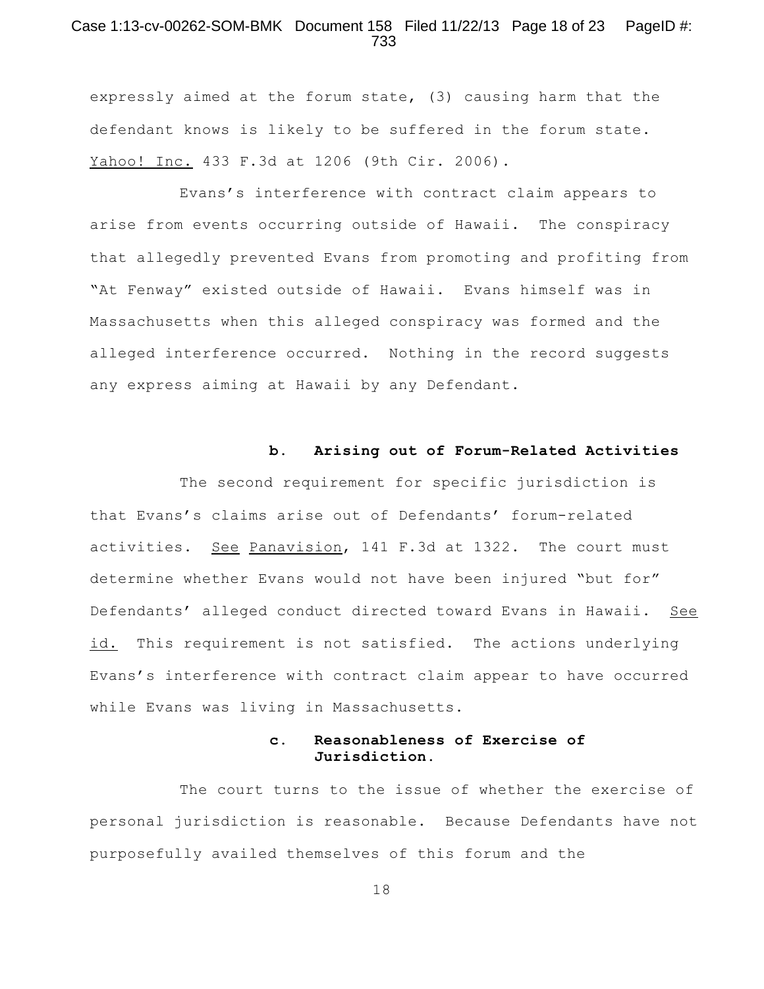## Case 1:13-cv-00262-SOM-BMK Document 158 Filed 11/22/13 Page 18 of 23 PageID #: 733

expressly aimed at the forum state, (3) causing harm that the defendant knows is likely to be suffered in the forum state. Yahoo! Inc. 433 F.3d at 1206 (9th Cir. 2006).

Evans's interference with contract claim appears to arise from events occurring outside of Hawaii. The conspiracy that allegedly prevented Evans from promoting and profiting from "At Fenway" existed outside of Hawaii. Evans himself was in Massachusetts when this alleged conspiracy was formed and the alleged interference occurred. Nothing in the record suggests any express aiming at Hawaii by any Defendant.

#### **b. Arising out of Forum-Related Activities**

The second requirement for specific jurisdiction is that Evans's claims arise out of Defendants' forum-related activities. See Panavision, 141 F.3d at 1322. The court must determine whether Evans would not have been injured "but for" Defendants' alleged conduct directed toward Evans in Hawaii. See id. This requirement is not satisfied. The actions underlying Evans's interference with contract claim appear to have occurred while Evans was living in Massachusetts.

# **c. Reasonableness of Exercise of Jurisdiction.**

The court turns to the issue of whether the exercise of personal jurisdiction is reasonable. Because Defendants have not purposefully availed themselves of this forum and the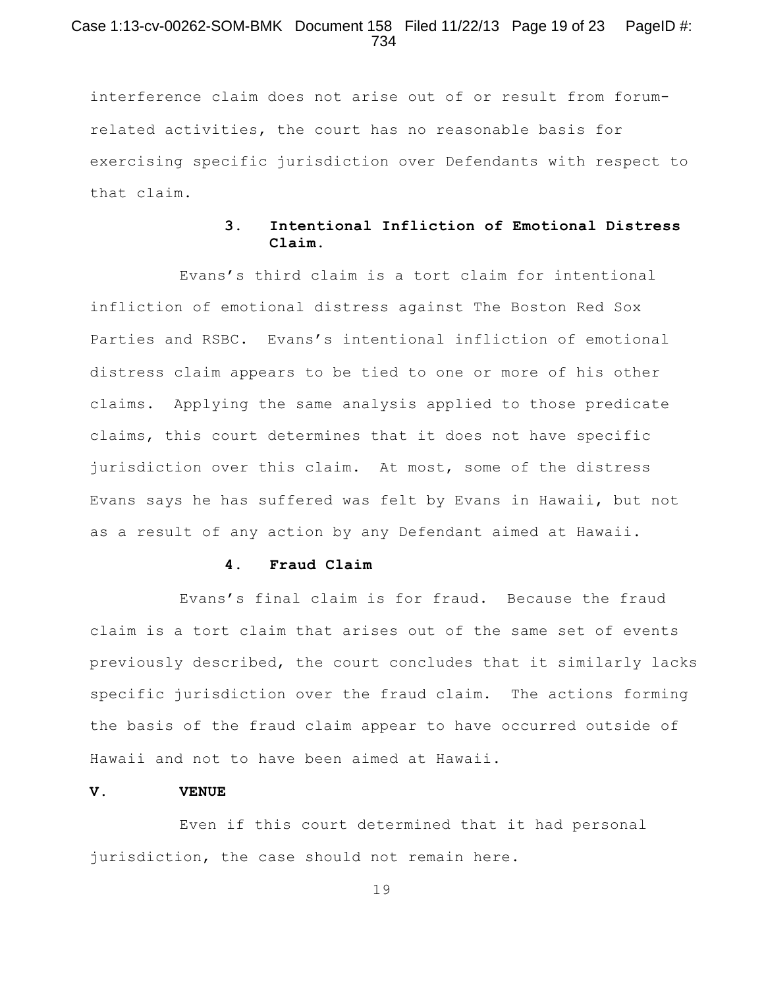## Case 1:13-cv-00262-SOM-BMK Document 158 Filed 11/22/13 Page 19 of 23 PageID #: 734

interference claim does not arise out of or result from forumrelated activities, the court has no reasonable basis for exercising specific jurisdiction over Defendants with respect to that claim.

# **3. Intentional Infliction of Emotional Distress Claim**.

Evans's third claim is a tort claim for intentional infliction of emotional distress against The Boston Red Sox Parties and RSBC. Evans's intentional infliction of emotional distress claim appears to be tied to one or more of his other claims. Applying the same analysis applied to those predicate claims, this court determines that it does not have specific jurisdiction over this claim. At most, some of the distress Evans says he has suffered was felt by Evans in Hawaii, but not as a result of any action by any Defendant aimed at Hawaii.

### **4. Fraud Claim**

Evans's final claim is for fraud. Because the fraud claim is a tort claim that arises out of the same set of events previously described, the court concludes that it similarly lacks specific jurisdiction over the fraud claim. The actions forming the basis of the fraud claim appear to have occurred outside of Hawaii and not to have been aimed at Hawaii.

#### **V. VENUE**

Even if this court determined that it had personal jurisdiction, the case should not remain here.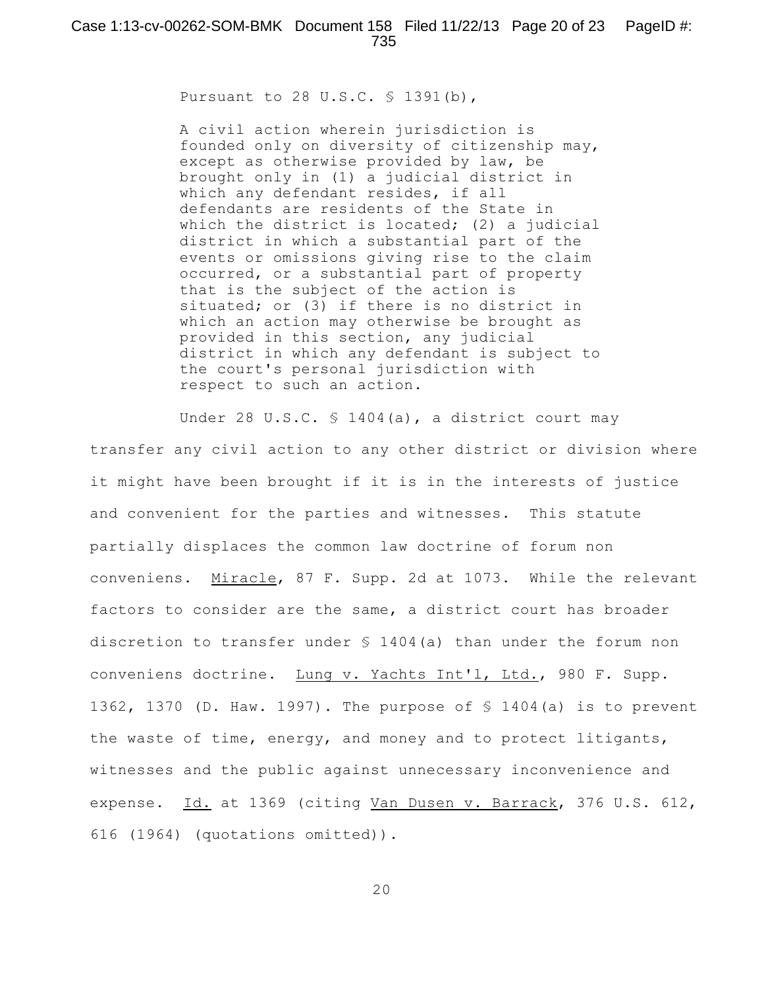Pursuant to 28 U.S.C. § 1391(b),

A civil action wherein jurisdiction is founded only on diversity of citizenship may, except as otherwise provided by law, be brought only in (1) a judicial district in which any defendant resides, if all defendants are residents of the State in which the district is located; (2) a judicial district in which a substantial part of the events or omissions giving rise to the claim occurred, or a substantial part of property that is the subject of the action is situated; or (3) if there is no district in which an action may otherwise be brought as provided in this section, any judicial district in which any defendant is subject to the court's personal jurisdiction with respect to such an action.

Under 28 U.S.C. § 1404(a), a district court may transfer any civil action to any other district or division where it might have been brought if it is in the interests of justice and convenient for the parties and witnesses. This statute partially displaces the common law doctrine of forum non conveniens. Miracle, 87 F. Supp. 2d at 1073. While the relevant factors to consider are the same, a district court has broader discretion to transfer under § 1404(a) than under the forum non conveniens doctrine. Lung v. Yachts Int'l, Ltd., 980 F. Supp. 1362, 1370 (D. Haw. 1997). The purpose of § 1404(a) is to prevent the waste of time, energy, and money and to protect litigants, witnesses and the public against unnecessary inconvenience and expense. Id. at 1369 (citing Van Dusen v. Barrack, 376 U.S. 612, 616 (1964) (quotations omitted)).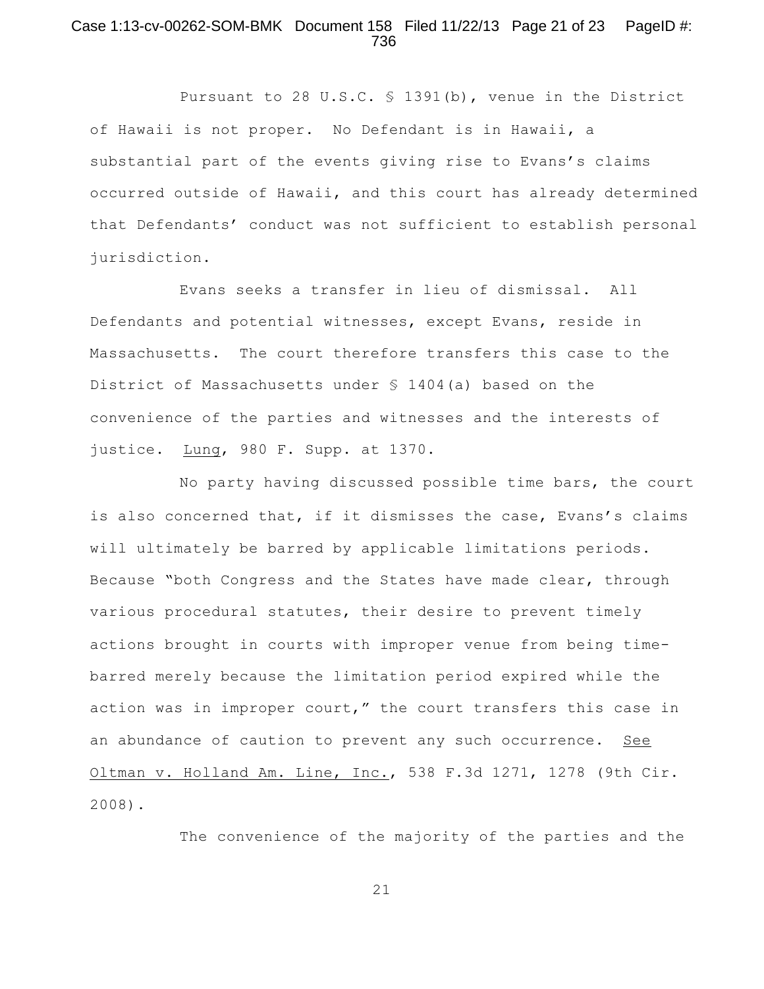## Case 1:13-cv-00262-SOM-BMK Document 158 Filed 11/22/13 Page 21 of 23 PageID #: 736

Pursuant to 28 U.S.C. § 1391(b), venue in the District of Hawaii is not proper. No Defendant is in Hawaii, a substantial part of the events giving rise to Evans's claims occurred outside of Hawaii, and this court has already determined that Defendants' conduct was not sufficient to establish personal jurisdiction.

Evans seeks a transfer in lieu of dismissal. All Defendants and potential witnesses, except Evans, reside in Massachusetts. The court therefore transfers this case to the District of Massachusetts under § 1404(a) based on the convenience of the parties and witnesses and the interests of justice. Lung, 980 F. Supp. at 1370.

No party having discussed possible time bars, the court is also concerned that, if it dismisses the case, Evans's claims will ultimately be barred by applicable limitations periods. Because "both Congress and the States have made clear, through various procedural statutes, their desire to prevent timely actions brought in courts with improper venue from being timebarred merely because the limitation period expired while the action was in improper court," the court transfers this case in an abundance of caution to prevent any such occurrence. See Oltman v. Holland Am. Line, Inc., 538 F.3d 1271, 1278 (9th Cir. 2008).

The convenience of the majority of the parties and the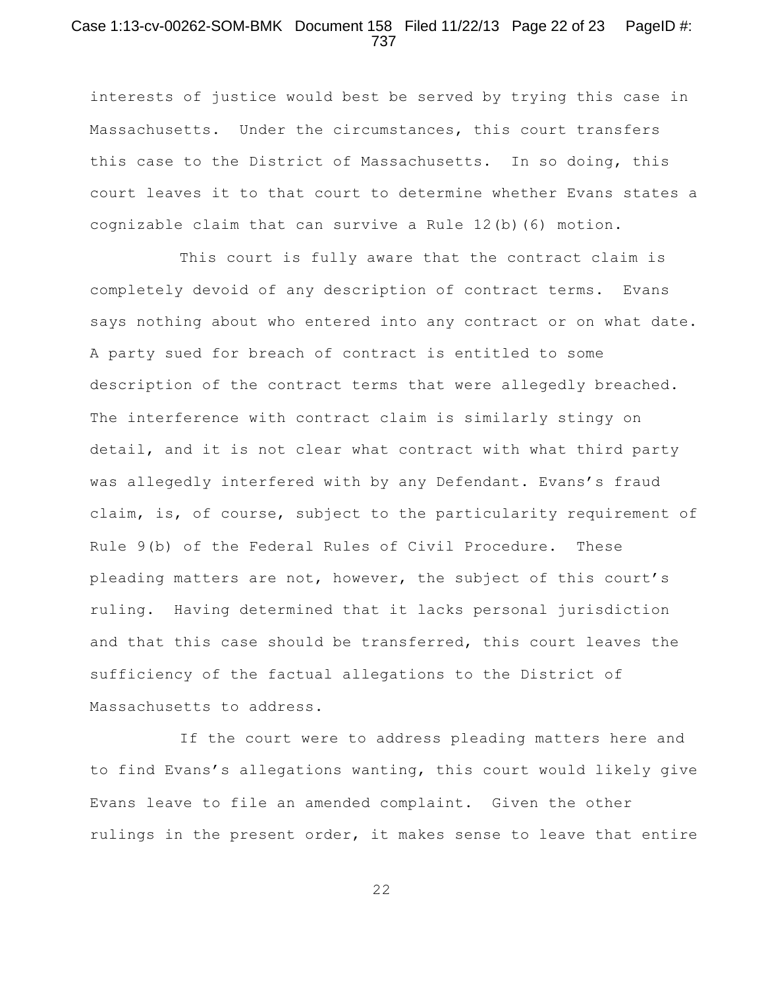## Case 1:13-cv-00262-SOM-BMK Document 158 Filed 11/22/13 Page 22 of 23 PageID #: 737

interests of justice would best be served by trying this case in Massachusetts. Under the circumstances, this court transfers this case to the District of Massachusetts. In so doing, this court leaves it to that court to determine whether Evans states a cognizable claim that can survive a Rule 12(b)(6) motion.

This court is fully aware that the contract claim is completely devoid of any description of contract terms. Evans says nothing about who entered into any contract or on what date. A party sued for breach of contract is entitled to some description of the contract terms that were allegedly breached. The interference with contract claim is similarly stingy on detail, and it is not clear what contract with what third party was allegedly interfered with by any Defendant. Evans's fraud claim, is, of course, subject to the particularity requirement of Rule 9(b) of the Federal Rules of Civil Procedure. These pleading matters are not, however, the subject of this court's ruling. Having determined that it lacks personal jurisdiction and that this case should be transferred, this court leaves the sufficiency of the factual allegations to the District of Massachusetts to address.

If the court were to address pleading matters here and to find Evans's allegations wanting, this court would likely give Evans leave to file an amended complaint. Given the other rulings in the present order, it makes sense to leave that entire